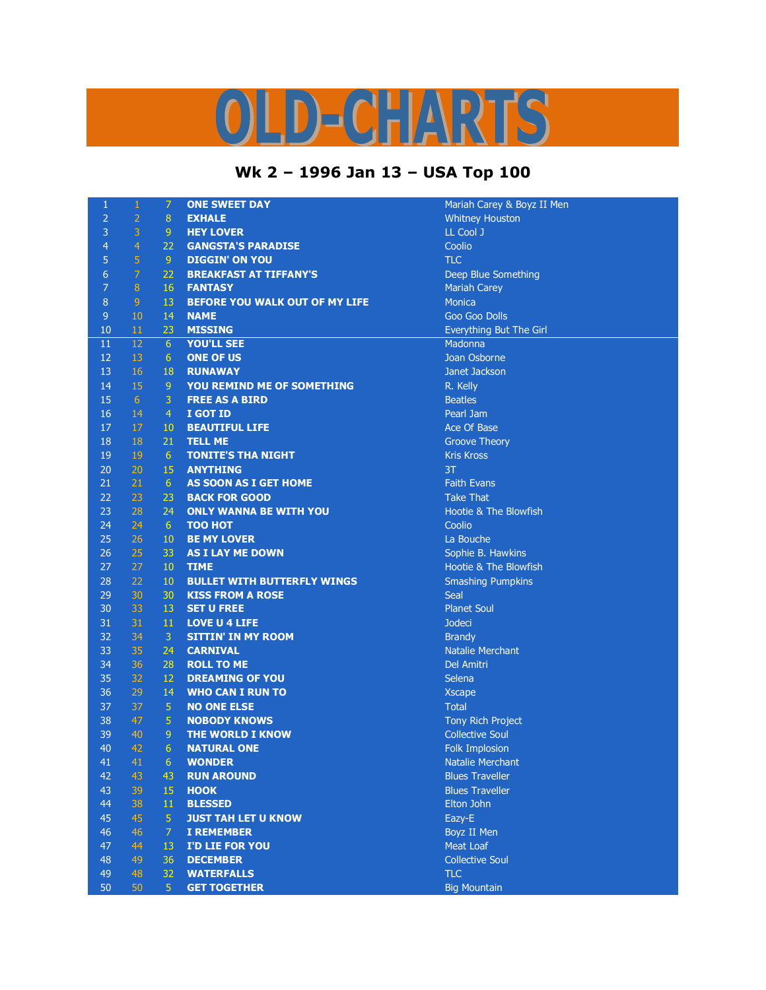## )LD-CHARTS

## **Wk 2 – 1996 Jan 13 – USA Top 100**

| $\mathbf{1}$   | $\,1\,$        | $\overline{7}$ | <b>ONE SWEET DAY</b>               | Mariah          |
|----------------|----------------|----------------|------------------------------------|-----------------|
| $\overline{2}$ | $\overline{2}$ | 8 <sup>°</sup> | <b>EXHALE</b>                      | Whitney         |
| $\overline{3}$ | $\overline{3}$ | 9 <sub>1</sub> | <b>HEY LOVER</b>                   | <b>LL Cool</b>  |
| $\overline{4}$ | $\overline{4}$ | 22             | <b>GANGSTA'S PARADISE</b>          | Coolio          |
| 5              | 5              | 9              | <b>DIGGIN' ON YOU</b>              | <b>TLC</b>      |
| $\sqrt{6}$     | $\overline{7}$ | 22             | <b>BREAKFAST AT TIFFANY'S</b>      | Deep B          |
| $\overline{7}$ | $\bf 8$        | 16             | <b>FANTASY</b>                     | Mariah          |
| $\bf 8$        | $\overline{9}$ | 13             | BEFORE YOU WALK OUT OF MY LIFE     | <b>Monica</b>   |
| $\overline{9}$ | 10             | 14             | <b>NAME</b>                        | Goo Go          |
| 10             | 11             | 23             | <b>MISSING</b>                     | Everyth         |
| 11             | 12             | 6 <sup>1</sup> | <b>YOU'LL SEE</b>                  | Madonr          |
| 12             | 13             | 6 <sup>1</sup> | <b>ONE OF US</b>                   | Joan Os         |
| 13             | 16             | 18             | <b>RUNAWAY</b>                     | Janet Ja        |
| 14             | 15             | 9 <sup>°</sup> | <b>YOU REMIND ME OF SOMETHING</b>  | R. Kelly        |
| 15             | 6 <sup>1</sup> | 3              | <b>FREE AS A BIRD</b>              | <b>Beatles</b>  |
| 16             | 14             | $\overline{4}$ | I GOT ID                           | Pearl Ja        |
| 17             | 17             | $10\,$         | <b>BEAUTIFUL LIFE</b>              | Ace Of          |
| 18             | 18             | 21             | <b>TELL ME</b>                     | Groove          |
| 19             | 19             | 6 <sup>1</sup> | <b>TONITE'S THA NIGHT</b>          | <b>Kris Krc</b> |
| 20             | 20             | 15             | <b>ANYTHING</b>                    | 3T              |
| 21             | 21             | 6 <sup>1</sup> | AS SOON AS I GET HOME              | Faith Ev        |
| 22             | 23             | 23             | <b>BACK FOR GOOD</b>               | Take Th         |
| 23             | 28             | 24             | <b>ONLY WANNA BE WITH YOU</b>      | Hootie          |
| 24             | 24             | 6 <sup>1</sup> | <b>TOO HOT</b>                     | Coolio          |
| 25             | 26             | $10\,$         | <b>BE MY LOVER</b>                 | La Boud         |
| 26             | 25             | 33             | <b>AS I LAY ME DOWN</b>            | Sophie          |
| 27             | 27             | 10             | <b>TIME</b>                        | Hootie          |
| 28             | 22             | 10             | <b>BULLET WITH BUTTERFLY WINGS</b> | Smashi          |
| 29             | 30             | 30             | <b>KISS FROM A ROSE</b>            | Seal            |
| 30             | 33             | 13             | <b>SET U FREE</b>                  | Planet 9        |
| 31             | 31             | 11             | <b>LOVE U 4 LIFE</b>               | Jodeci          |
| 32             | 34             | 3              | <b>SITTIN' IN MY ROOM</b>          | <b>Brandy</b>   |
| 33             | 35             | 24             | <b>CARNIVAL</b>                    | <b>Natalie</b>  |
| 34             | 36             | 28             | <b>ROLL TO ME</b>                  | Del Ami         |
| 35             | 32             | 12             | <b>DREAMING OF YOU</b>             | Selena          |
| 36             | 29             | 14             | <b>WHO CAN I RUN TO</b>            | <b>Xscape</b>   |
| 37             | 37             | 5 <sub>1</sub> | <b>NO ONE ELSE</b>                 | <b>Total</b>    |
| 38             | 47             | $\overline{5}$ | <b>NOBODY KNOWS</b>                | <b>Tony Ri</b>  |
| 39             | 40             | 9              | <b>THE WORLD I KNOW</b>            | Collecti        |
| 40             | 42             | 6 <sup>1</sup> | <b>NATURAL ONE</b>                 | Folk Im         |
| 41             | 41             | 6              | <b>WONDER</b>                      | <b>Natalie</b>  |
| 42             | 43             | 43             | <b>RUN AROUND</b>                  | <b>Blues T</b>  |
| 43             | 39             | 15             | <b>HOOK</b>                        | <b>Blues T</b>  |
| 44             | 38             | 11             | <b>BLESSED</b>                     | Elton Jo        |
| 45             | 45             | 5              | <b>JUST TAH LET U KNOW</b>         | Eazy-E          |
| 46             | 46             | $\overline{7}$ | <b>I REMEMBER</b>                  | Boyz II         |
| 47             | 44             | 13             | I'D LIE FOR YOU                    | Meat Lo         |
| 48             | 49             | 36             | <b>DECEMBER</b>                    | Collecti        |
| 49             | 48             | 32             | <b>WATERFALLS</b>                  | <b>TLC</b>      |
| 50             | 50             | 5 <sup>1</sup> | <b>GET TOGETHER</b>                | <b>Big Mou</b>  |

Mariah Carey & Boyz II Men **Whitney Houston** LL Cool J **Deep Blue Something Mariah Carey** Goo Goo Dolls Everything But The Girl **Madonna** Joan Osborne **Janet Jackson** Pearl Jam Ace Of Base **Groove Theory Kris Kross Faith Evans Take That** Hootie & The Blowfish La Bouche Sophie B. Hawkins **Hootie & The Blowfish Smashing Pumpkins Planet Soul Natalie Merchant Del Amitri Tony Rich Project Collective Soul Folk Implosion Natalie Merchant Blues Traveller Blues Traveller** Elton John **Boyz II Men Meat Loaf** Collective Soul

**Big Mountain**